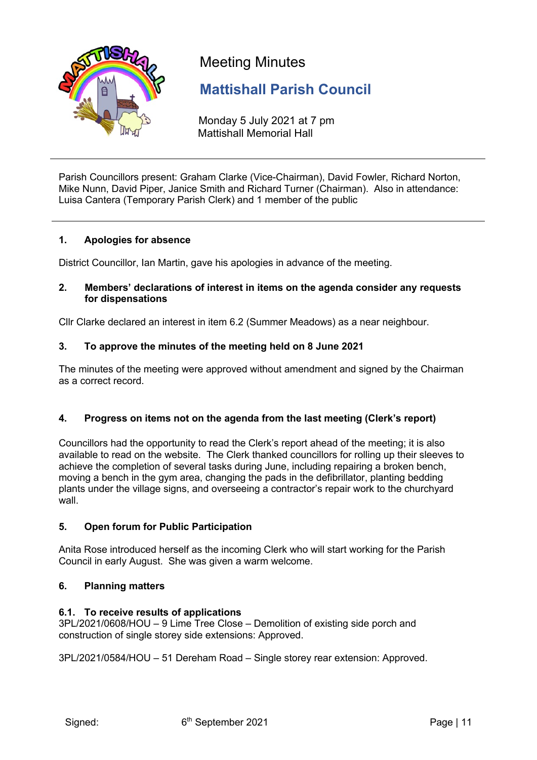

Meeting Minutes

# **Mattishall Parish Council**

Monday 5 July 2021 at 7 pm Mattishall Memorial Hall

Parish Councillors present: Graham Clarke (Vice-Chairman), David Fowler, Richard Norton, Mike Nunn, David Piper, Janice Smith and Richard Turner (Chairman). Also in attendance: Luisa Cantera (Temporary Parish Clerk) and 1 member of the public

## **1. Apologies for absence**

District Councillor, Ian Martin, gave his apologies in advance of the meeting.

## **2. Members' declarations of interest in items on the agenda consider any requests for dispensations**

Cllr Clarke declared an interest in item 6.2 (Summer Meadows) as a near neighbour.

## **3. To approve the minutes of the meeting held on 8 June 2021**

The minutes of the meeting were approved without amendment and signed by the Chairman as a correct record.

# **4. Progress on items not on the agenda from the last meeting (Clerk's report)**

Councillors had the opportunity to read the Clerk's report ahead of the meeting; it is also available to read on the website. The Clerk thanked councillors for rolling up their sleeves to achieve the completion of several tasks during June, including repairing a broken bench, moving a bench in the gym area, changing the pads in the defibrillator, planting bedding plants under the village signs, and overseeing a contractor's repair work to the churchyard wall.

## **5. Open forum for Public Participation**

Anita Rose introduced herself as the incoming Clerk who will start working for the Parish Council in early August. She was given a warm welcome.

## **6. Planning matters**

## **6.1. To receive results of applications**

3PL/2021/0608/HOU – 9 Lime Tree Close – Demolition of existing side porch and construction of single storey side extensions: Approved.

3PL/2021/0584/HOU – 51 Dereham Road – Single storey rear extension: Approved.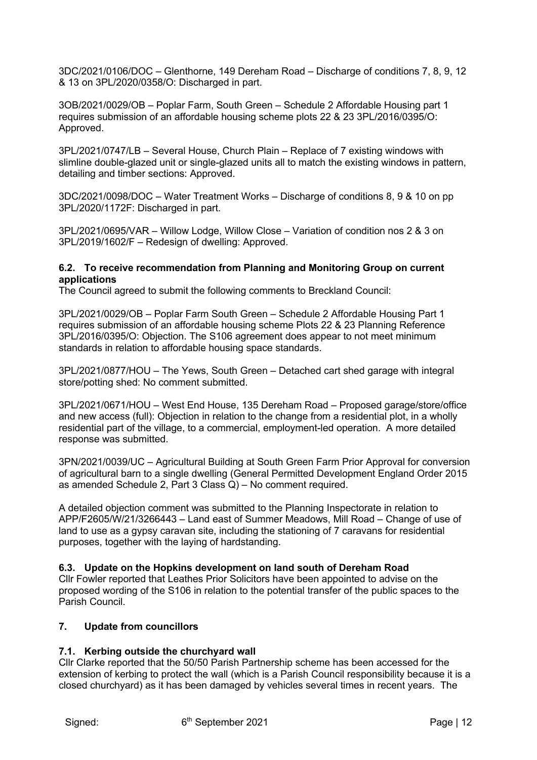3DC/2021/0106/DOC – Glenthorne, 149 Dereham Road – Discharge of conditions 7, 8, 9, 12 & 13 on 3PL/2020/0358/O: Discharged in part.

3OB/2021/0029/OB – Poplar Farm, South Green – Schedule 2 Affordable Housing part 1 requires submission of an affordable housing scheme plots 22 & 23 3PL/2016/0395/O: Approved.

3PL/2021/0747/LB – Several House, Church Plain – Replace of 7 existing windows with slimline double-glazed unit or single-glazed units all to match the existing windows in pattern, detailing and timber sections: Approved.

3DC/2021/0098/DOC – Water Treatment Works – Discharge of conditions 8, 9 & 10 on pp 3PL/2020/1172F: Discharged in part.

3PL/2021/0695/VAR – Willow Lodge, Willow Close – Variation of condition nos 2 & 3 on 3PL/2019/1602/F – Redesign of dwelling: Approved.

#### **6.2. To receive recommendation from Planning and Monitoring Group on current applications**

The Council agreed to submit the following comments to Breckland Council:

3PL/2021/0029/OB – Poplar Farm South Green – Schedule 2 Affordable Housing Part 1 requires submission of an affordable housing scheme Plots 22 & 23 Planning Reference 3PL/2016/0395/O: Objection. The S106 agreement does appear to not meet minimum standards in relation to affordable housing space standards.

3PL/2021/0877/HOU – The Yews, South Green – Detached cart shed garage with integral store/potting shed: No comment submitted.

3PL/2021/0671/HOU – West End House, 135 Dereham Road – Proposed garage/store/office and new access (full): Objection in relation to the change from a residential plot, in a wholly residential part of the village, to a commercial, employment-led operation. A more detailed response was submitted.

3PN/2021/0039/UC – Agricultural Building at South Green Farm Prior Approval for conversion of agricultural barn to a single dwelling (General Permitted Development England Order 2015 as amended Schedule 2, Part  $3$  Class  $Q$ ) – No comment required.

A detailed objection comment was submitted to the Planning Inspectorate in relation to APP/F2605/W/21/3266443 – Land east of Summer Meadows, Mill Road – Change of use of land to use as a gypsy caravan site, including the stationing of 7 caravans for residential purposes, together with the laying of hardstanding.

## **6.3. Update on the Hopkins development on land south of Dereham Road**

Cllr Fowler reported that Leathes Prior Solicitors have been appointed to advise on the proposed wording of the S106 in relation to the potential transfer of the public spaces to the Parish Council.

# **7. Update from councillors**

# **7.1. Kerbing outside the churchyard wall**

Cllr Clarke reported that the 50/50 Parish Partnership scheme has been accessed for the extension of kerbing to protect the wall (which is a Parish Council responsibility because it is a closed churchyard) as it has been damaged by vehicles several times in recent years. The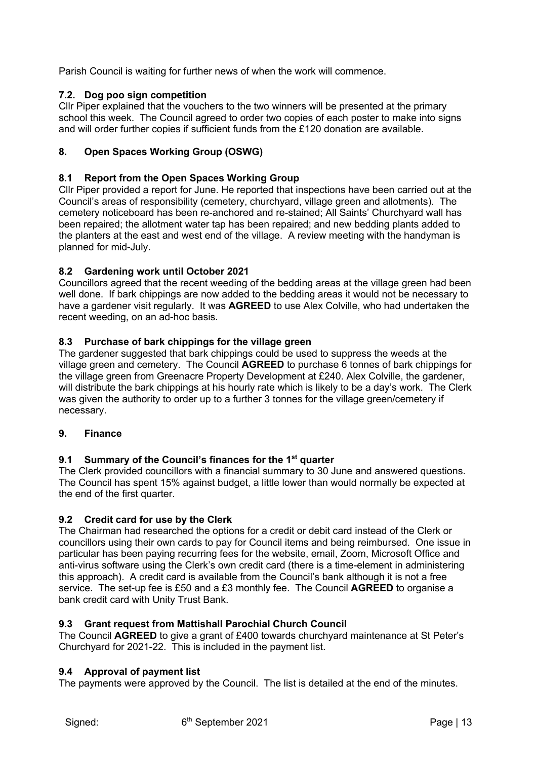Parish Council is waiting for further news of when the work will commence.

## **7.2. Dog poo sign competition**

Cllr Piper explained that the vouchers to the two winners will be presented at the primary school this week. The Council agreed to order two copies of each poster to make into signs and will order further copies if sufficient funds from the £120 donation are available.

## **8. Open Spaces Working Group (OSWG)**

## **8.1 Report from the Open Spaces Working Group**

Cllr Piper provided a report for June. He reported that inspections have been carried out at the Council's areas of responsibility (cemetery, churchyard, village green and allotments). The cemetery noticeboard has been re-anchored and re-stained; All Saints' Churchyard wall has been repaired; the allotment water tap has been repaired; and new bedding plants added to the planters at the east and west end of the village. A review meeting with the handyman is planned for mid-July.

## **8.2 Gardening work until October 2021**

Councillors agreed that the recent weeding of the bedding areas at the village green had been well done. If bark chippings are now added to the bedding areas it would not be necessary to have a gardener visit regularly. It was **AGREED** to use Alex Colville, who had undertaken the recent weeding, on an ad-hoc basis.

## **8.3 Purchase of bark chippings for the village green**

The gardener suggested that bark chippings could be used to suppress the weeds at the village green and cemetery. The Council **AGREED** to purchase 6 tonnes of bark chippings for the village green from Greenacre Property Development at £240. Alex Colville, the gardener, will distribute the bark chippings at his hourly rate which is likely to be a day's work. The Clerk was given the authority to order up to a further 3 tonnes for the village green/cemetery if necessary.

## **9. Finance**

## **9.1 Summary of the Council's finances for the 1st quarter**

The Clerk provided councillors with a financial summary to 30 June and answered questions. The Council has spent 15% against budget, a little lower than would normally be expected at the end of the first quarter.

## **9.2 Credit card for use by the Clerk**

The Chairman had researched the options for a credit or debit card instead of the Clerk or councillors using their own cards to pay for Council items and being reimbursed. One issue in particular has been paying recurring fees for the website, email, Zoom, Microsoft Office and anti-virus software using the Clerk's own credit card (there is a time-element in administering this approach). A credit card is available from the Council's bank although it is not a free service. The set-up fee is £50 and a £3 monthly fee. The Council **AGREED** to organise a bank credit card with Unity Trust Bank.

## **9.3 Grant request from Mattishall Parochial Church Council**

The Council **AGREED** to give a grant of £400 towards churchyard maintenance at St Peter's Churchyard for 2021-22. This is included in the payment list.

## **9.4 Approval of payment list**

The payments were approved by the Council. The list is detailed at the end of the minutes.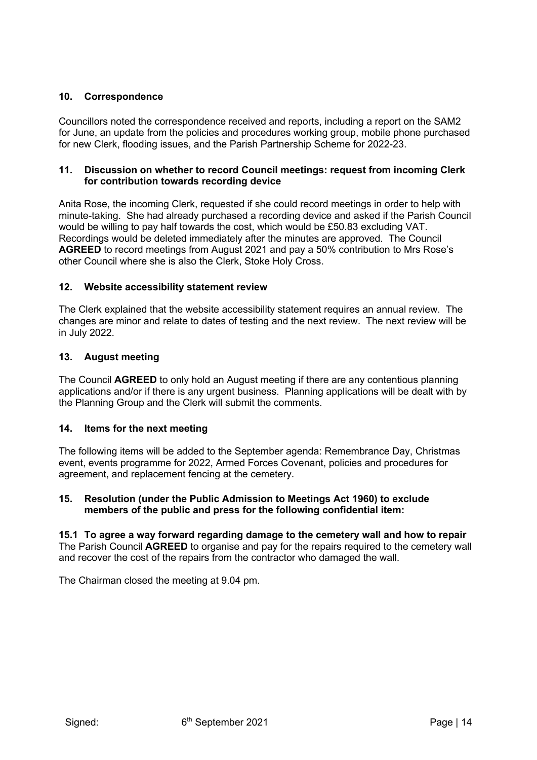## **10. Correspondence**

Councillors noted the correspondence received and reports, including a report on the SAM2 for June, an update from the policies and procedures working group, mobile phone purchased for new Clerk, flooding issues, and the Parish Partnership Scheme for 2022-23.

## **11. Discussion on whether to record Council meetings: request from incoming Clerk for contribution towards recording device**

Anita Rose, the incoming Clerk, requested if she could record meetings in order to help with minute-taking. She had already purchased a recording device and asked if the Parish Council would be willing to pay half towards the cost, which would be £50.83 excluding VAT. Recordings would be deleted immediately after the minutes are approved. The Council **AGREED** to record meetings from August 2021 and pay a 50% contribution to Mrs Rose's other Council where she is also the Clerk, Stoke Holy Cross.

## **12. Website accessibility statement review**

The Clerk explained that the website accessibility statement requires an annual review. The changes are minor and relate to dates of testing and the next review. The next review will be in July 2022.

## **13. August meeting**

The Council **AGREED** to only hold an August meeting if there are any contentious planning applications and/or if there is any urgent business. Planning applications will be dealt with by the Planning Group and the Clerk will submit the comments.

## **14. Items for the next meeting**

The following items will be added to the September agenda: Remembrance Day, Christmas event, events programme for 2022, Armed Forces Covenant, policies and procedures for agreement, and replacement fencing at the cemetery.

## **15. Resolution (under the Public Admission to Meetings Act 1960) to exclude members of the public and press for the following confidential item:**

**15.1 To agree a way forward regarding damage to the cemetery wall and how to repair** The Parish Council **AGREED** to organise and pay for the repairs required to the cemetery wall and recover the cost of the repairs from the contractor who damaged the wall.

The Chairman closed the meeting at 9.04 pm.